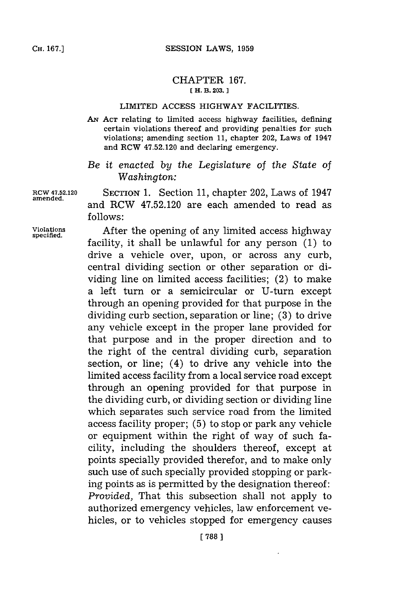## CHAPTER **167. [ H. B. 203.]1**

## LIMITED **ACCESS** HIGHWAY FACILITIES.

**AN ACT** relating to limited access highway facilities, defining certain violations thereof and providing penalties for such violations; amending section **11,** chapter 202, Laws of 1947 and RCW 47.52.120 and declaring emergency.

## *Be it enacted by the Legislature of the State of Washington:*

**amended.**

**ROW 47.52.120 SECTION 1.** Section **11,** chapter 202, Laws of 1947 and RCW 47.52.120 are each amended to read as **follows:**

**Violations** After the opening of any limited access highway **specified.** facility, it shall be unlawful for any person **(1)** to drive a vehicle over, upon, or across any curb, central dividing section or other separation or dividing line on limited access facilities; (2) to make a left turn or a semicircular or U-turn except through an opening provided for that purpose in the dividing curb section, separation or line; **(3)** to drive any vehicle except in the proper lane provided for that purpose and in the proper direction and to the right of the central dividing curb, separation section, or line; (4) to drive any vehicle into the limited access facility from a local service road except through an opening provided for that purpose in the dividing curb, or dividing section or dividing line which separates such service road from the limited access facility proper; **(5)** to stop or park any vehicle or equipment within the right of way of such facility, including the shoulders thereof, except at points specially provided therefor, and to make only such use of such specially provided stopping or parking points as is permitted **by** the designation thereof: *Provided,* That this subsection shall not apply to authorized emergency vehicles, law enforcement vehicles, or to vehicles stopped for emergency causes